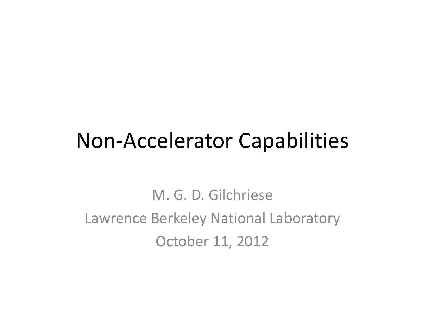#### Non‐Accelerator Capabilities

M. G. D. GilchrieseLawrence Berkeley National Laboratory October 11, 2012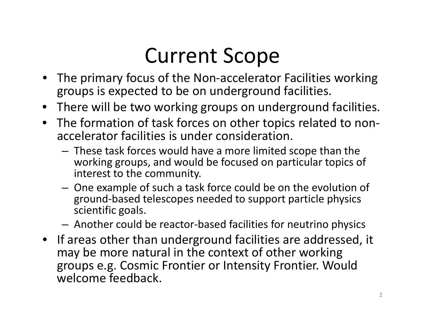#### Current Scope

- The primary focus of the Non‐accelerator Facilities working groups is expected to be on underground facilities.
- There will be two working groups on underground facilities.
- The formation of task forces on other topics related to non‐ accelerator facilities is under consideration.
	- – These task forces would have <sup>a</sup> more limited scope than the working groups, and would be focused on particular topics of interest to the community.
	- – One example of such <sup>a</sup> task force could be on the evolution of ground‐based telescopes needed to support particle physics scientific goals.
	- –Another could be reactor‐based facilities for neutrino physics
- If areas other than underground facilities are addressed, it may be more natural in the context of other working groups e.g. Cosmic Frontier or Intensity Frontier. Would welcome feedback.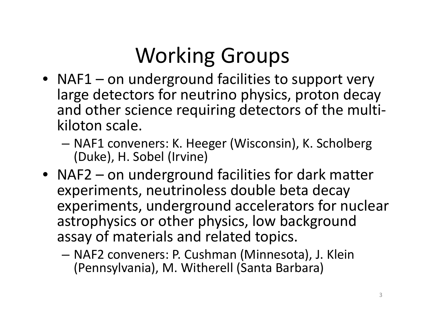## Working Groups

- NAF1 on underground facilities to support very large detectors for neutrino physics, proton decay and other science requiring detectors of the multi ‐ kiloton scale.
	- – NAF1 conveners: K. Heeger (Wisconsin), K. Scholberg (Duke), H. Sobel (Irvine)
- NAF2 on underground facilities for dark matter experiments, neutrinoless double beta decay experiments, underground accelerators for nuclear astrophysics or other physics, low background assay of materials and related topics.
	- – NAF2 conveners: P. Cushman (Minnesota), J. Klein (Pennsylvania), M. Witherell (Santa Barbara)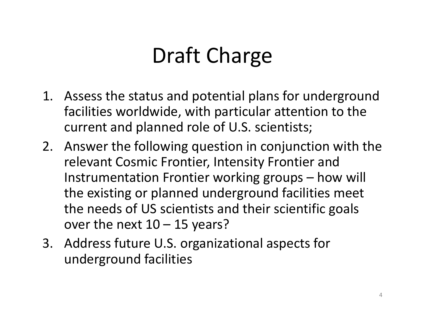### Draft Charge

- 1. Assess the status and potential plans for underground facilities worldwide, with particular attention to the current and planned role of U.S. scientists;
- 2. Answer the following question in conjunction with the relevant Cosmic Frontier, Intensity Frontier and Instrumentation Frontier working groups – how will the existing or planned underground facilities meet the needs of US scientists and their scientific goals over the next 10 – 15 years?
- 3. Address future U.S. organizational aspects for underground facilities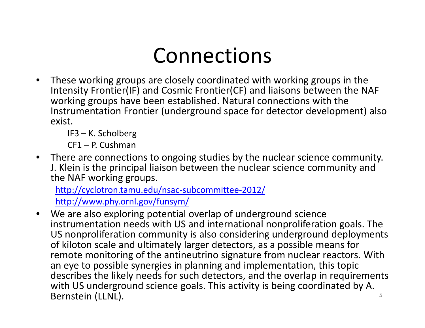#### Connections

• These working groups are closely coordinated with working groups in the Intensity Frontier(IF) and Cosmic Frontier(CF) and liaisons between the NAF working groups have been established. Natural connections with the Instrumentation Frontier (underground space for detector development) also exist.

IF3 – K. Scholberg

CF1 – P. Cushman

• There are connections to ongoing studies by the nuclear science community. J. Klein is the principal liaison between the nuclear science community and the NAF working groups.

[http://cyclotron.tamu.edu/nsac](http://cyclotron.tamu.edu/nsac-subcommittee-2012/)‐subcommittee‐2012/ <http://www.phy.ornl.gov/funsym/>

• We are also exploring potential overlap of underground science instrumentation needs with US and international nonproliferation goals. The US nonproliferation community is also considering underground deployments of kiloton scale and ultimately larger detectors, as <sup>a</sup> possible means for remote monitoring of the antineutrino signature from nuclear reactors. With an eye to possible synergies in planning and implementation, this topic describes the likely needs for such detectors, and the overlap in requirements with US underground science goals. This activity is being coordinated by A. Bernstein (LLNL). <sup>5</sup>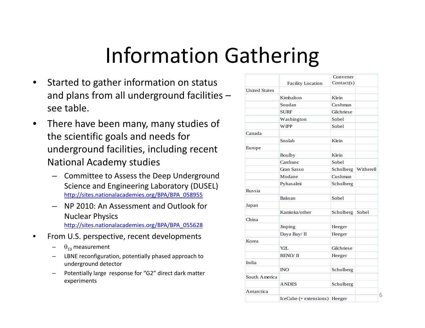### Information Gathering

- •**•** Started to gather information on status and plans from all underground facilities – see table.
- • There have been many, many studies of the scientific goals and needs for underground facilities, including recent National Academy studies
	- Committee to Assess the Deep Underground Science and Engineering Laboratory (DUSEL) [http://sites.nationalacademies.org/BPA/BPA\\_058955](http://sites.nationalacademies.org/BPA/BPA_058955)
	- NP 2010: An Assessment and Outlook for Nuclear Physics [http://sites.nationalacademies.org/BPA/BPA\\_055628](http://sites.nationalacademies.org/BPA/BPA_055628)
- •• From U.S. perspective, recent developments
	- $\quad \theta_{13}$  measurement
	- LBNE reconfiguration, potentially phased approach to underground detector
	- Potentially large response for "G2" direct dark matter experiments

|                      |                          | Convener   |           |
|----------------------|--------------------------|------------|-----------|
|                      | <b>Facility Location</b> | Context(s) |           |
| <b>United States</b> |                          |            |           |
|                      | Kimbalton                | Klein      |           |
|                      | Soudan                   | Cushman    |           |
|                      | <b>SURF</b>              | Gilchriese |           |
|                      | Washington               | Sobel      |           |
|                      | <b>WIPP</b>              | Sobel      |           |
| Canada               |                          |            |           |
|                      | Snolab                   | Klein      |           |
| Europe               |                          |            |           |
|                      | Boulby                   | Klein      |           |
|                      | Canfranc                 | Sobel      |           |
|                      | Gran Sasso               | Scholberg  | Witherell |
|                      | Modane                   | Cushman    |           |
|                      | Pyhasalmi                | Scholberg  |           |
| Russia               |                          |            |           |
|                      | Baksan                   | Sobel      |           |
| Japan                |                          |            |           |
|                      | Kamioka/other            | Scholberg  | Sobel     |
| China                |                          |            |           |
|                      | Jinping                  | Heeger     |           |
|                      | Daya Bay/ II             | Heeger     |           |
| Korea                |                          |            |           |
|                      | Y2L                      | Gilchriese |           |
|                      | <b>RENO/II</b>           | Heeger     |           |
| India                |                          |            |           |
|                      | <b>INO</b>               | Scholberg  |           |
| South America        |                          |            |           |
|                      | <b>ANDES</b>             | Scholberg  |           |
| Antarctica           |                          |            |           |
|                      | $IceCube (+ extensions)$ | Heeger     |           |